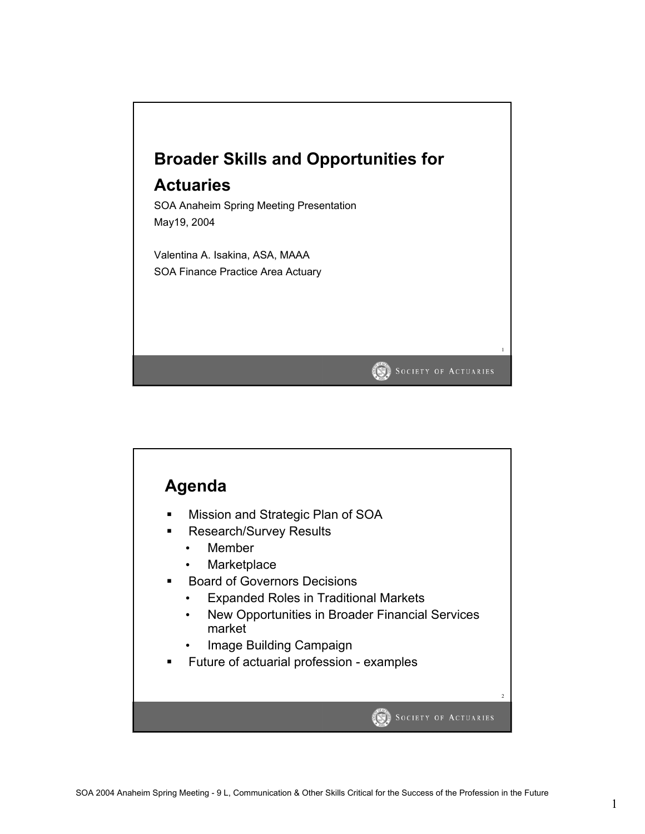

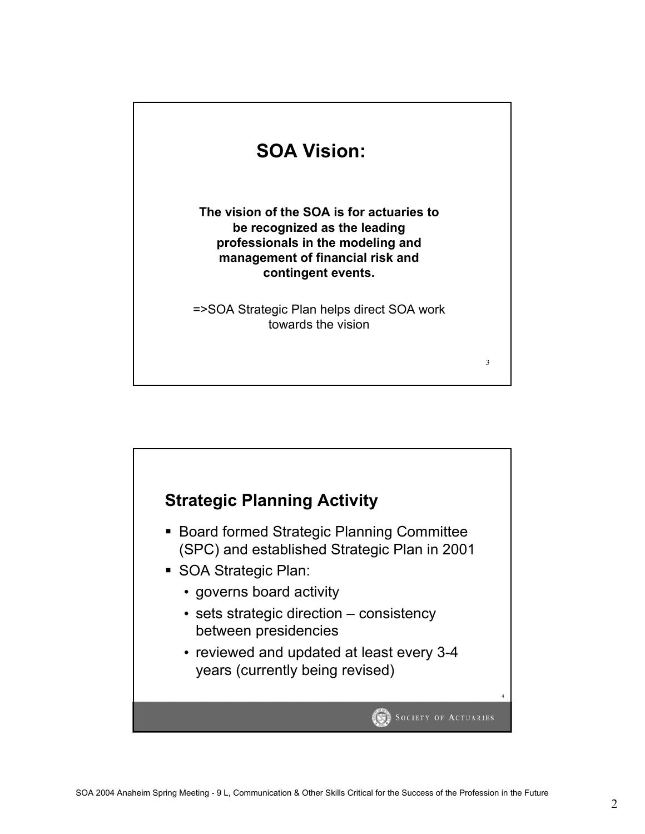

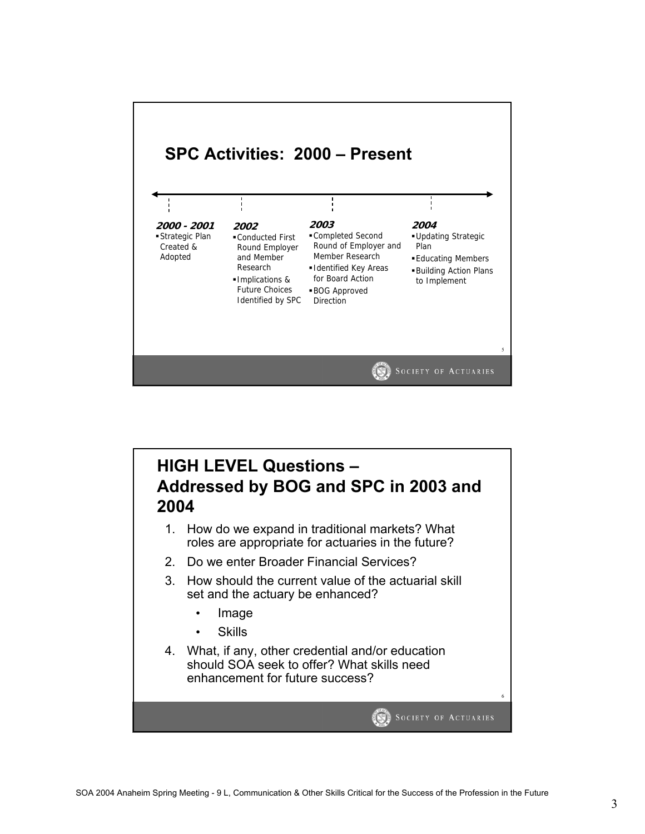

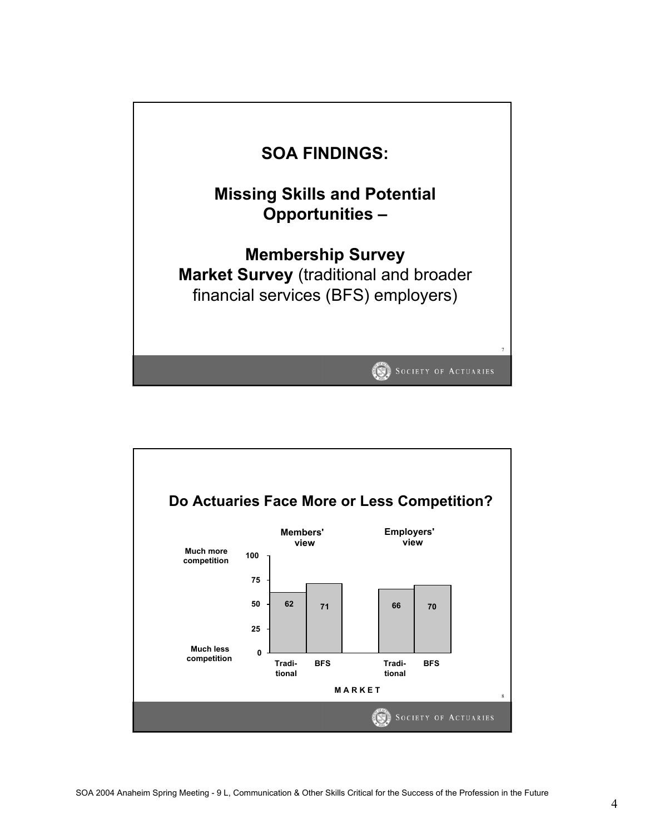

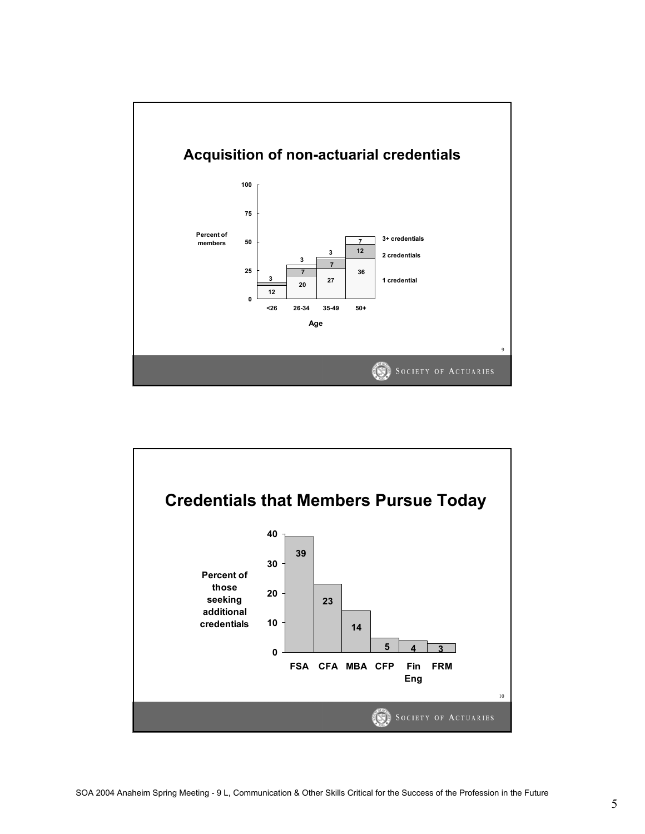

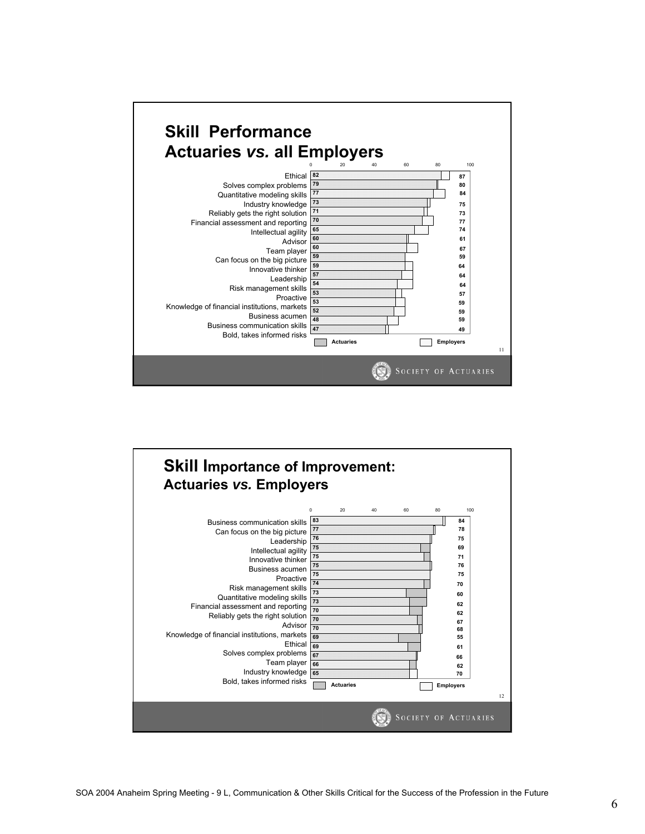

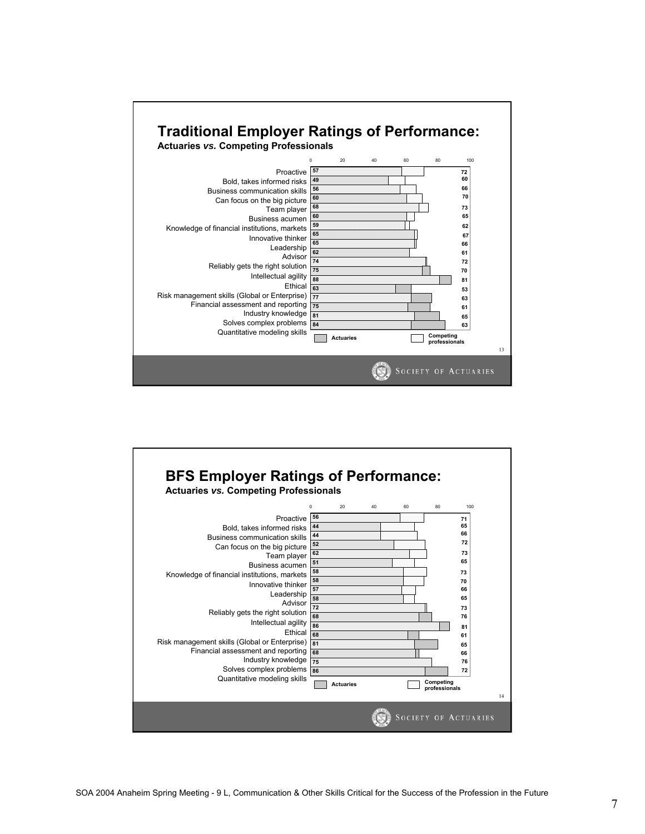

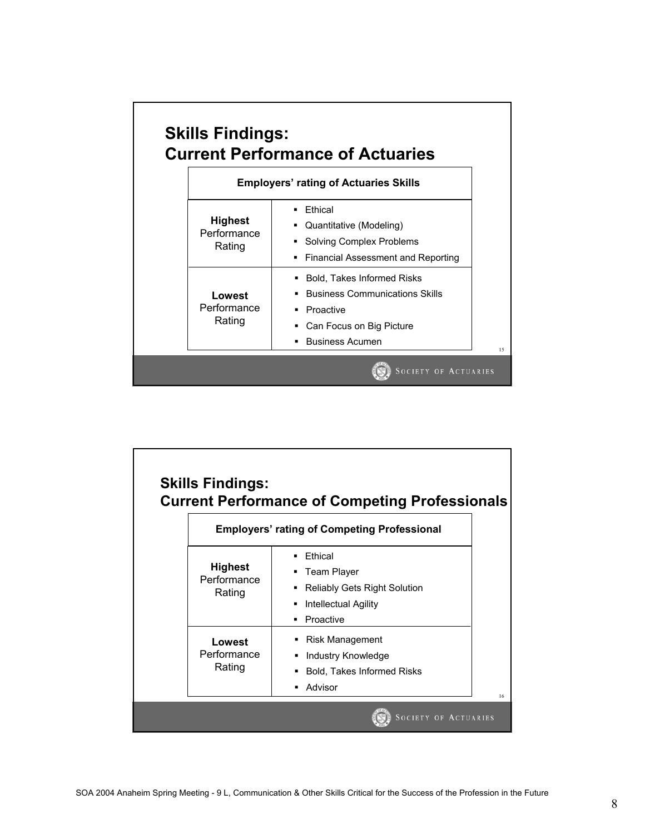

| <b>Skills Findings:</b>                 | <b>Current Performance of Competing Professionals</b>                                                                    |
|-----------------------------------------|--------------------------------------------------------------------------------------------------------------------------|
|                                         | <b>Employers' rating of Competing Professional</b>                                                                       |
| <b>Highest</b><br>Performance<br>Rating | <b>Fthical</b><br>Team Player<br><b>Reliably Gets Right Solution</b><br>Е<br>Intellectual Agility<br>п<br>Proactive<br>٠ |
| Lowest<br>Performance<br>Rating         | <b>Risk Management</b><br>Industry Knowledge<br>٠<br><b>Bold, Takes Informed Risks</b><br>Advisor                        |
|                                         | <b>SOCIETY OF ACTUARIES</b>                                                                                              |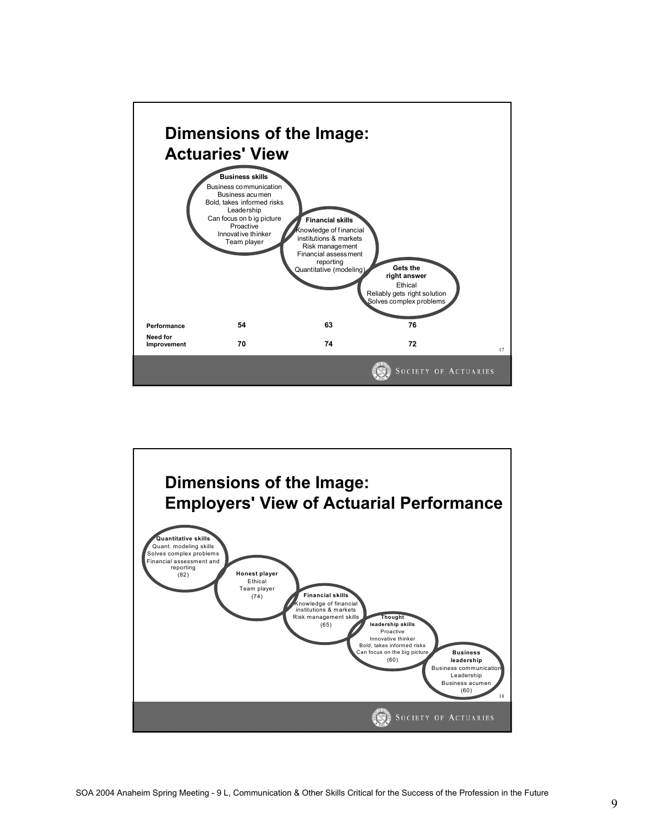

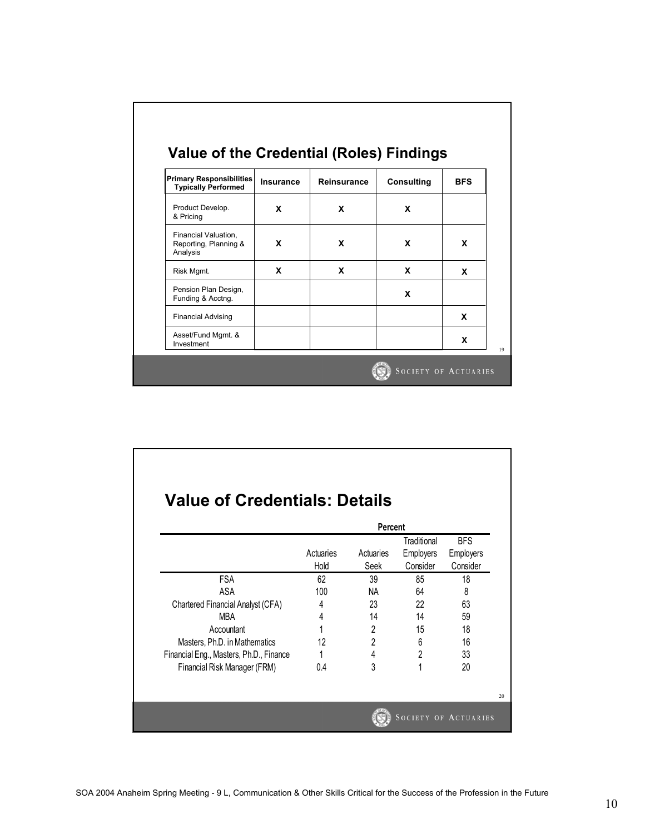| <b>Primary Responsibilities</b><br><b>Typically Performed</b> | <b>Insurance</b> | Reinsurance | <b>Consulting</b> | <b>BFS</b> |
|---------------------------------------------------------------|------------------|-------------|-------------------|------------|
| Product Develop.<br>& Pricing                                 | X                | X           | X                 |            |
| Financial Valuation,<br>Reporting, Planning &<br>Analysis     | X                | X           | X                 | X          |
| Risk Mgmt.                                                    | X                | X           | x                 | X          |
| Pension Plan Design,<br>Funding & Acctng.                     |                  |             | X                 |            |
| <b>Financial Advising</b>                                     |                  |             |                   | X          |
| Asset/Fund Mgmt. &<br>Investment                              |                  |             |                   | X          |

٦

٦

 $\Gamma$ 

 $\Gamma$ 

|                                         | Percent           |                   |                                      |                                            |  |
|-----------------------------------------|-------------------|-------------------|--------------------------------------|--------------------------------------------|--|
|                                         | Actuaries<br>Hold | Actuaries<br>Seek | Traditional<br>Employers<br>Consider | <b>BFS</b><br><b>Employers</b><br>Consider |  |
| <b>FSA</b>                              | 62                | 39                | 85                                   | 18                                         |  |
| ASA                                     | 100               | <b>NA</b>         | 64                                   | 8                                          |  |
| Chartered Financial Analyst (CFA)       | 4                 | 23                | 22                                   | 63                                         |  |
| <b>MBA</b>                              | 4                 | 14                | 14                                   | 59                                         |  |
| Accountant                              | 1                 | $\overline{2}$    | 15                                   | 18                                         |  |
| Masters, Ph.D. in Mathematics           | 12                | $\overline{2}$    | 6                                    | 16                                         |  |
| Financial Eng., Masters, Ph.D., Finance |                   | 4                 | $\overline{2}$                       | 33                                         |  |
| Financial Risk Manager (FRM)            | 0.4               | 3                 | 1                                    | 20                                         |  |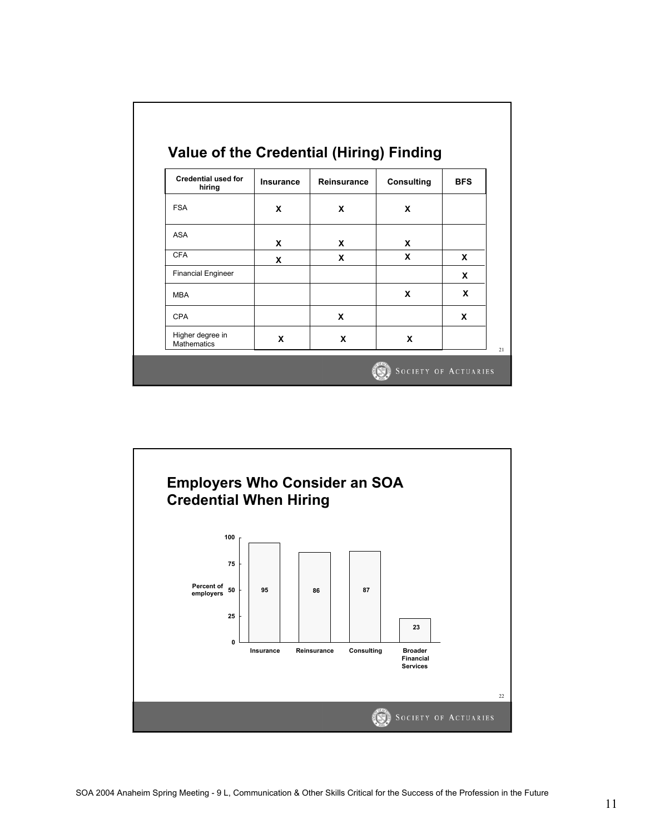| <b>Credential used for</b><br>hiring   | Insurance | <b>Reinsurance</b> | <b>Consulting</b> | <b>BFS</b> |
|----------------------------------------|-----------|--------------------|-------------------|------------|
| <b>FSA</b>                             | X         | X                  | X                 |            |
| ASA                                    | X         | X                  | x                 |            |
| <b>CFA</b>                             | X         | X                  | X                 | x          |
| <b>Financial Engineer</b>              |           |                    |                   | X          |
| <b>MBA</b>                             |           |                    | X                 | X          |
| CPA                                    |           | X                  |                   | X          |
| Higher degree in<br><b>Mathematics</b> | X         | X                  | X                 |            |

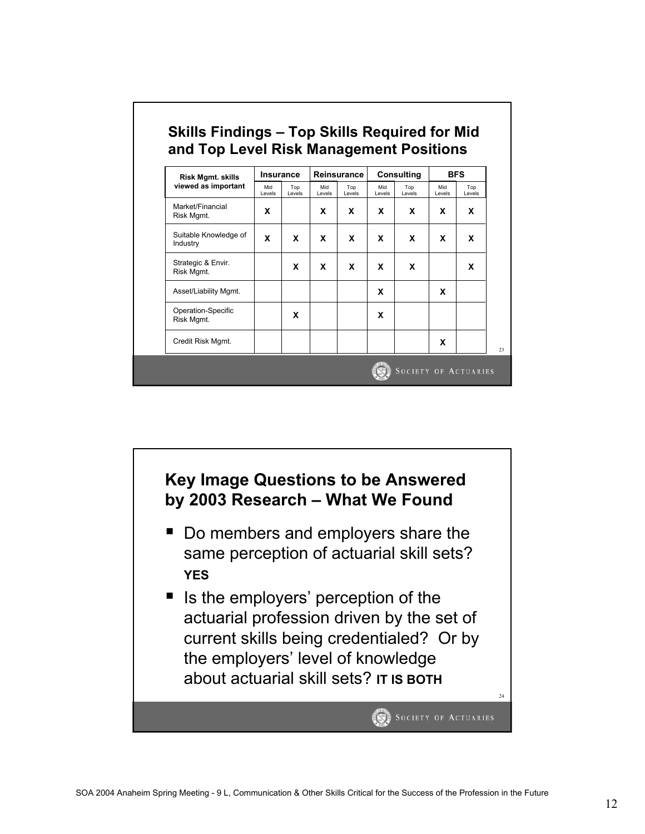| Risk Mgmt. skills<br>viewed as important | <b>Insurance</b> |               | Reinsurance   |               | <b>Consulting</b> |               | <b>BFS</b>    |               |
|------------------------------------------|------------------|---------------|---------------|---------------|-------------------|---------------|---------------|---------------|
|                                          | Mid<br>Levels    | Top<br>Levels | Mid<br>Levels | Top<br>Levels | Mid<br>Levels     | Top<br>Levels | Mid<br>Levels | Top<br>Levels |
| Market/Financial<br>Risk Mgmt.           | x                |               | x             | x             | x                 | x             | x             | x             |
| Suitable Knowledge of<br>Industry        | x                | X             | x             | x             | X                 | x             | x             | x             |
| Strategic & Envir.<br>Risk Mgmt.         |                  | x             | X             | X             | X                 | x             |               | x             |
| Asset/Liability Mgmt.                    |                  |               |               |               | X                 |               | x             |               |
| Operation-Specific<br>Risk Mgmt.         |                  | x             |               |               | x                 |               |               |               |
| Credit Risk Mgmt.                        |                  |               |               |               |                   |               | X             |               |

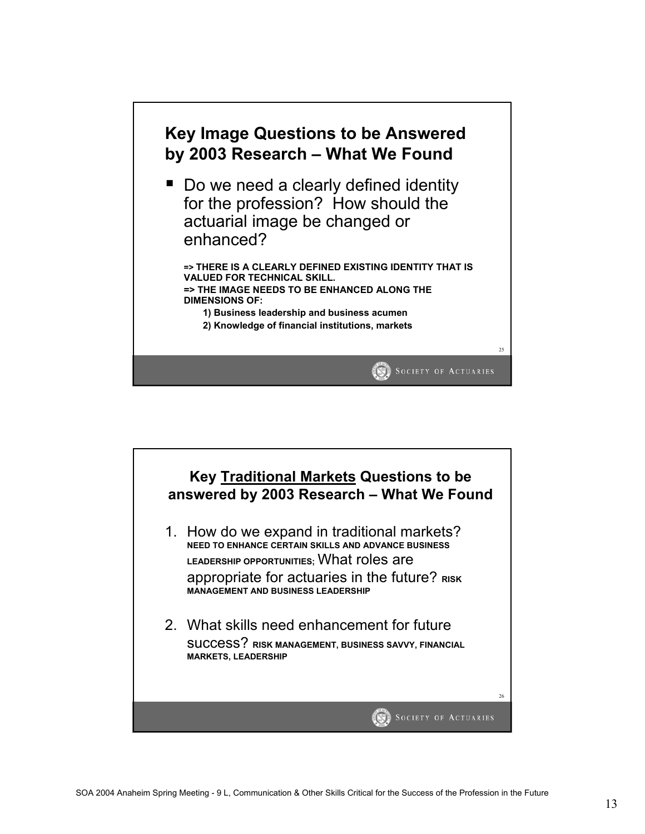

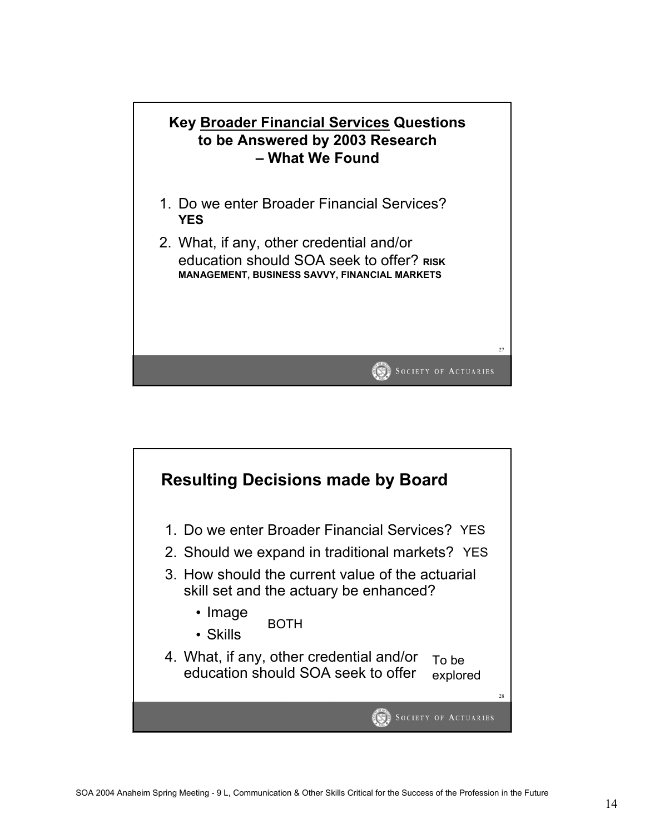

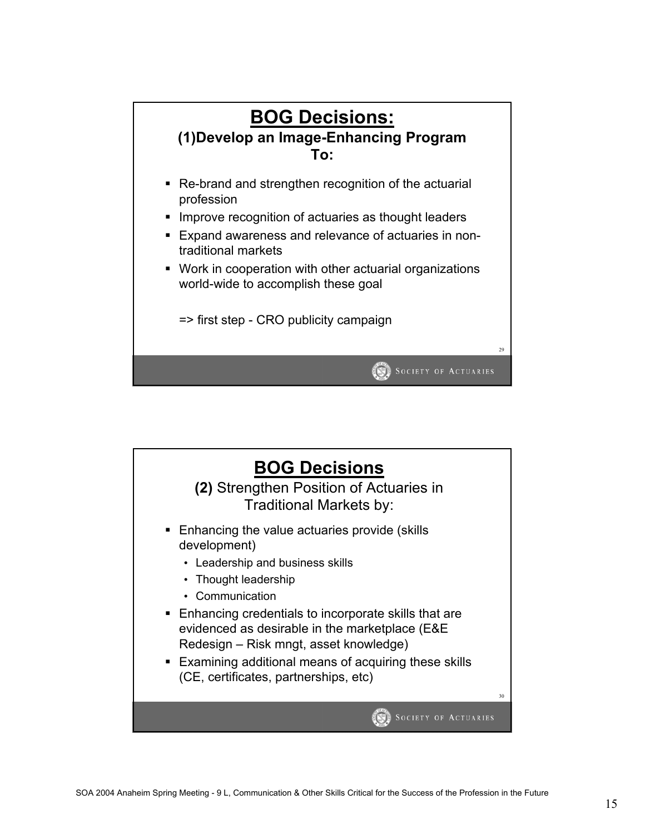

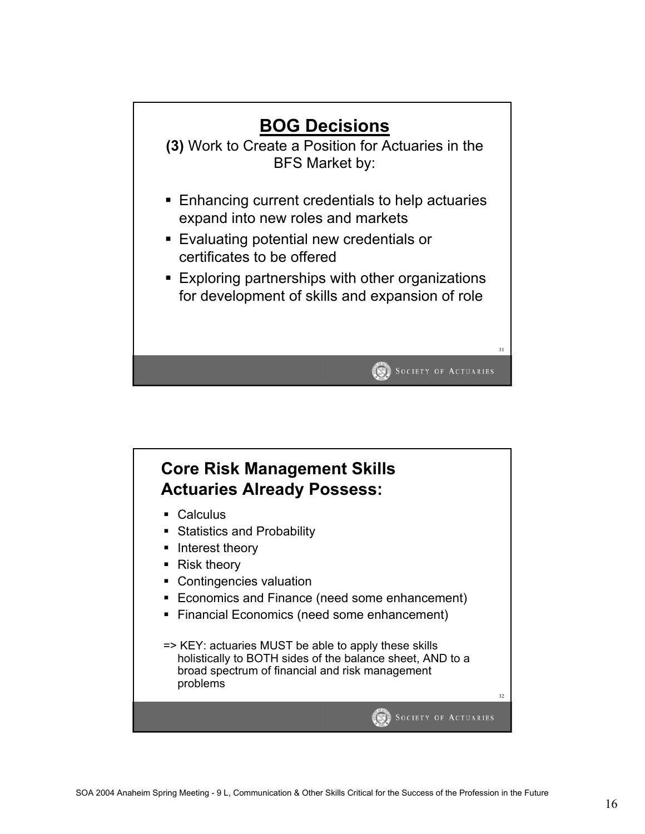

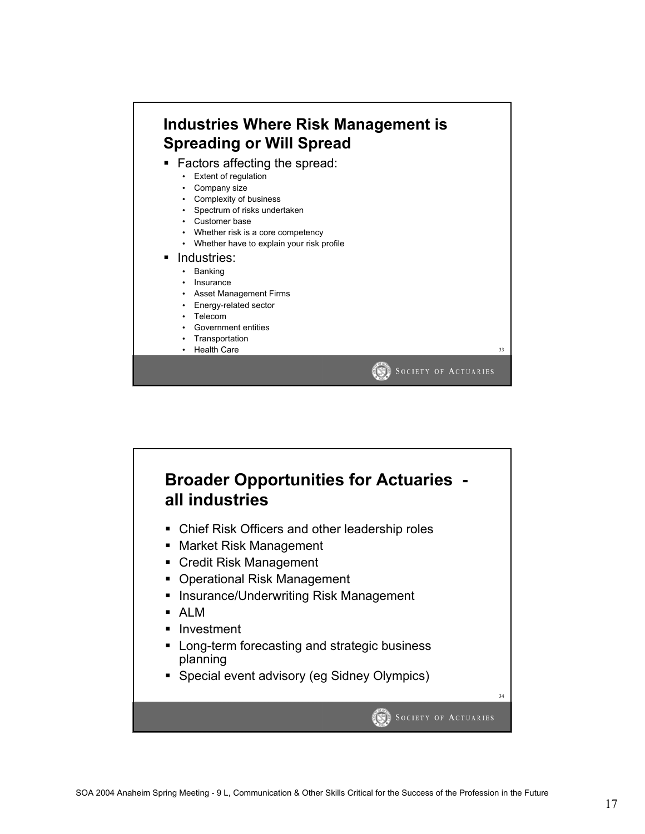

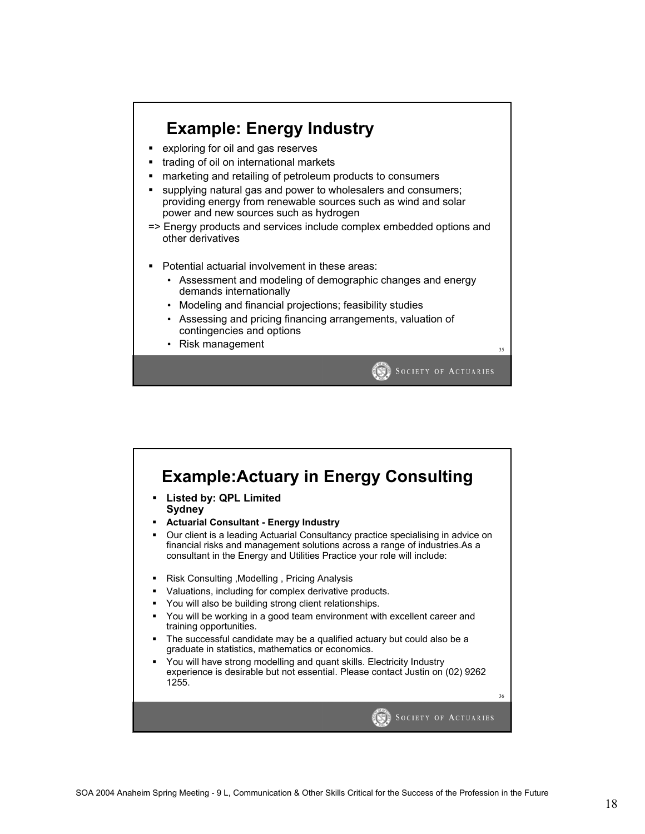

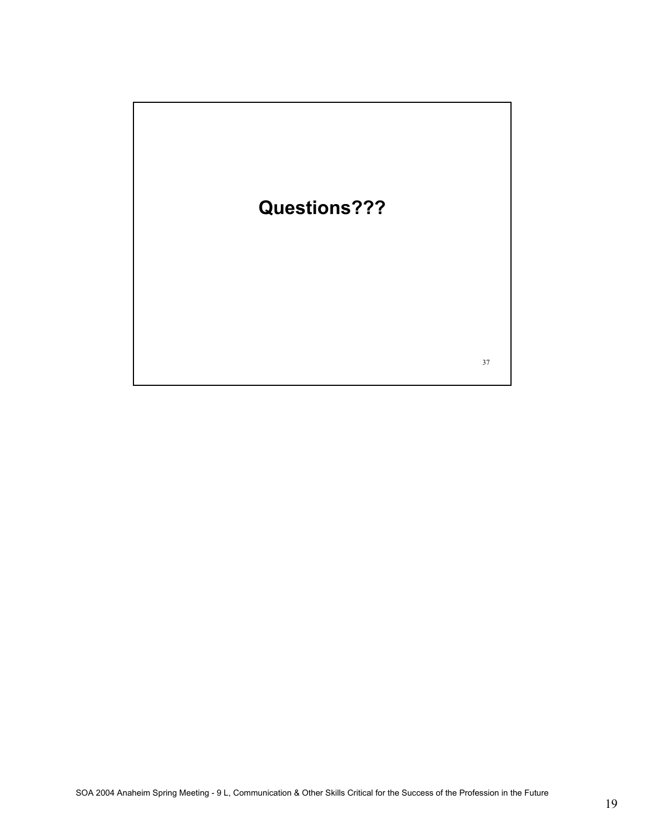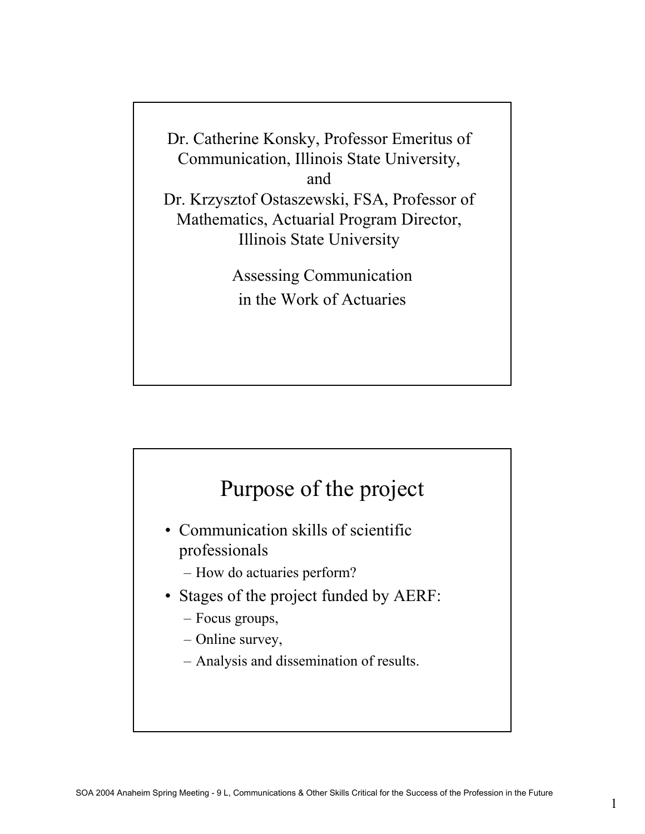Dr. Catherine Konsky, Professor Emeritus of Communication, Illinois State University, and Dr. Krzysztof Ostaszewski, FSA, Professor of Mathematics, Actuarial Program Director, Illinois State University

> Assessing Communication in the Work of Actuaries



- Communication skills of scientific professionals
	- How do actuaries perform?
- Stages of the project funded by AERF:
	- Focus groups,
	- Online survey,
	- Analysis and dissemination of results.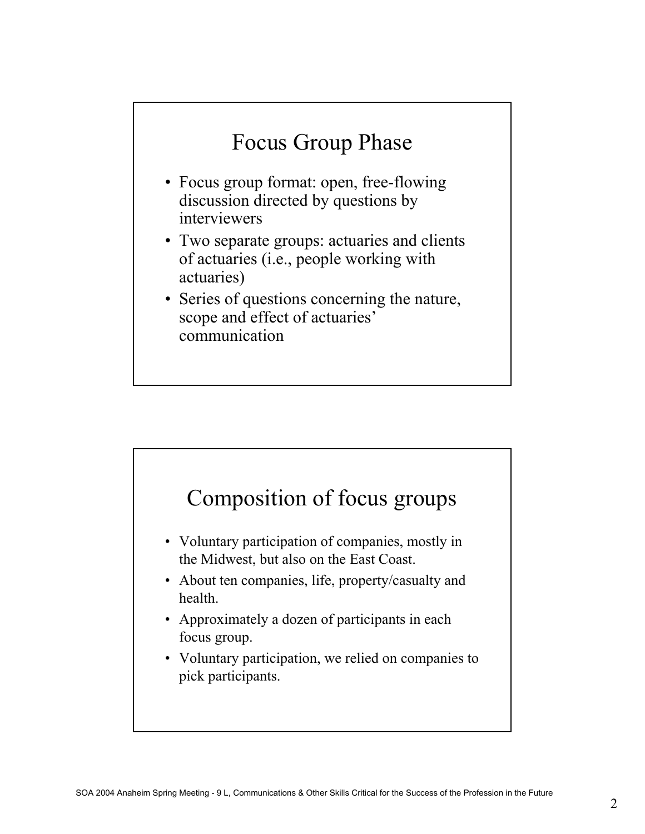# Focus Group Phase

- Focus group format: open, free-flowing discussion directed by questions by interviewers
- Two separate groups: actuaries and clients of actuaries (i.e., people working with actuaries)
- Series of questions concerning the nature, scope and effect of actuaries' communication

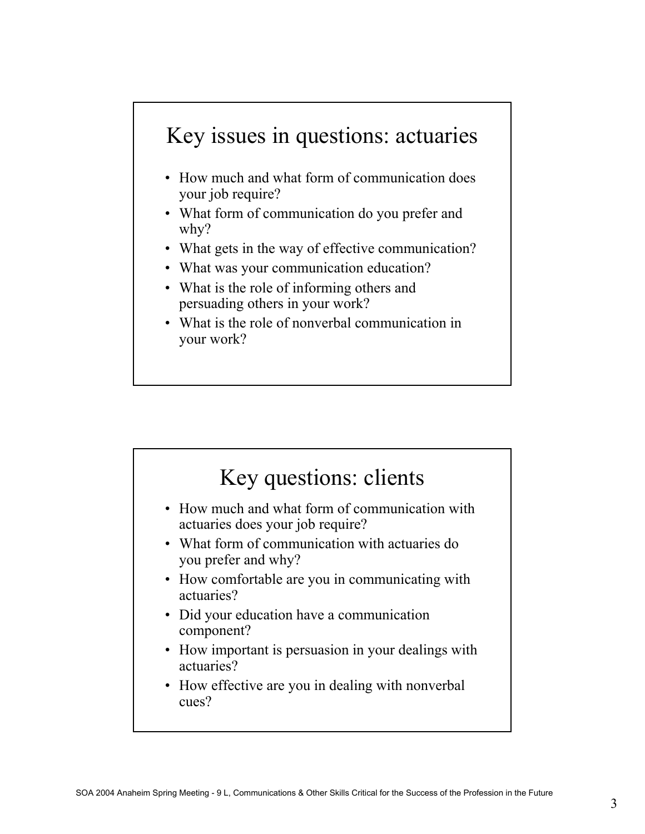### Key issues in questions: actuaries

- How much and what form of communication does your job require?
- What form of communication do you prefer and why?
- What gets in the way of effective communication?
- What was your communication education?
- What is the role of informing others and persuading others in your work?
- What is the role of nonverbal communication in your work?

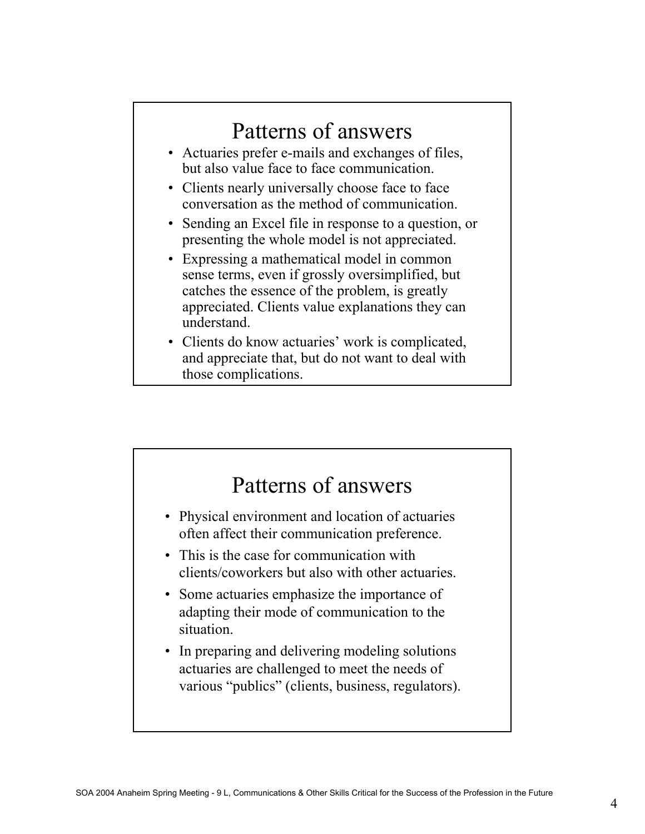#### Patterns of answers • Actuaries prefer e-mails and exchanges of files, but also value face to face communication. • Clients nearly universally choose face to face conversation as the method of communication. • Sending an Excel file in response to a question, or presenting the whole model is not appreciated. • Expressing a mathematical model in common sense terms, even if grossly oversimplified, but catches the essence of the problem, is greatly appreciated. Clients value explanations they can understand. • Clients do know actuaries' work is complicated, and appreciate that, but do not want to deal with

those complications.

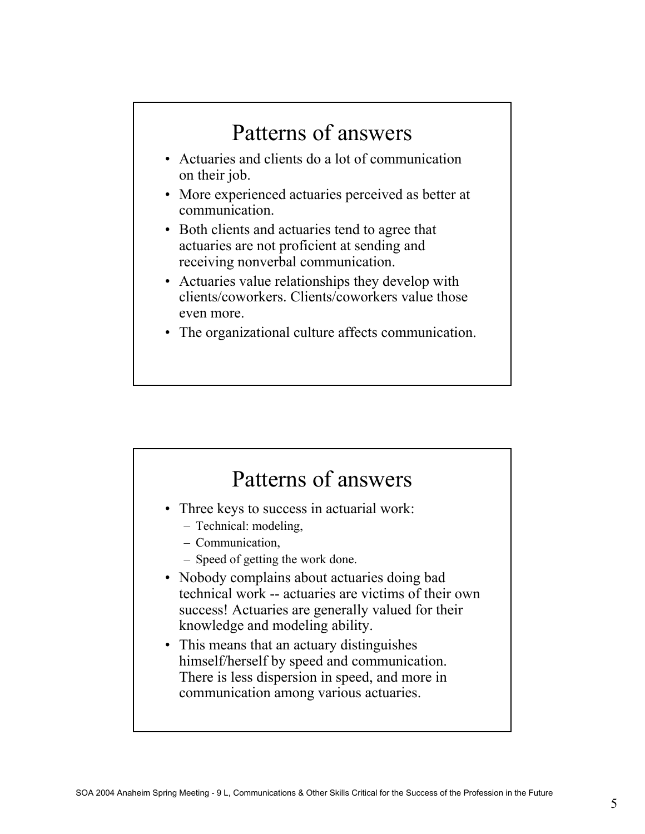### Patterns of answers • Actuaries and clients do a lot of communication on their job. • More experienced actuaries perceived as better at communication. • Both clients and actuaries tend to agree that actuaries are not proficient at sending and receiving nonverbal communication. • Actuaries value relationships they develop with clients/coworkers. Clients/coworkers value those even more. • The organizational culture affects communication.

### Patterns of answers • Three keys to success in actuarial work: – Technical: modeling, – Communication, – Speed of getting the work done. • Nobody complains about actuaries doing bad technical work -- actuaries are victims of their own success! Actuaries are generally valued for their knowledge and modeling ability. • This means that an actuary distinguishes himself/herself by speed and communication. There is less dispersion in speed, and more in communication among various actuaries.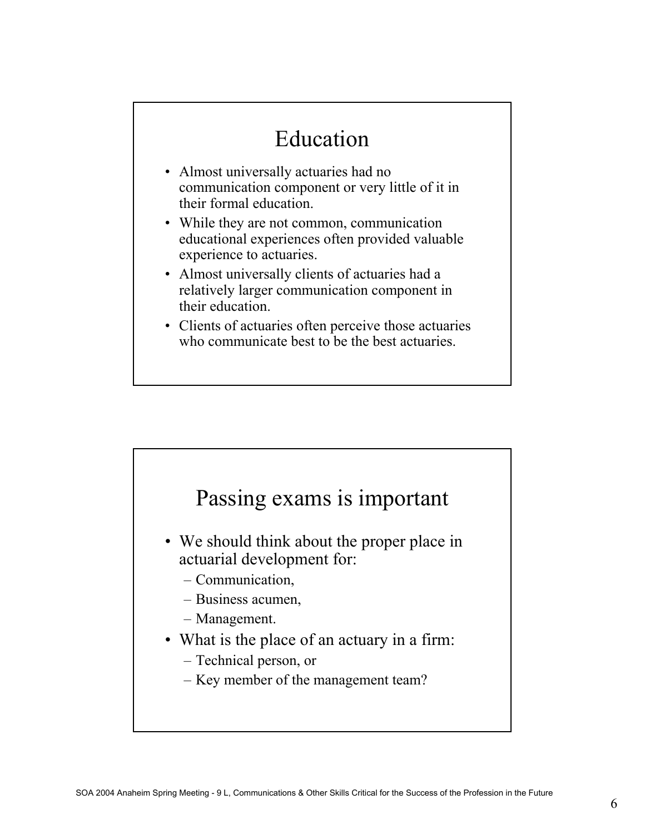## Education

- Almost universally actuaries had no communication component or very little of it in their formal education.
- While they are not common, communication educational experiences often provided valuable experience to actuaries.
- Almost universally clients of actuaries had a relatively larger communication component in their education.
- Clients of actuaries often perceive those actuaries who communicate best to be the best actuaries.